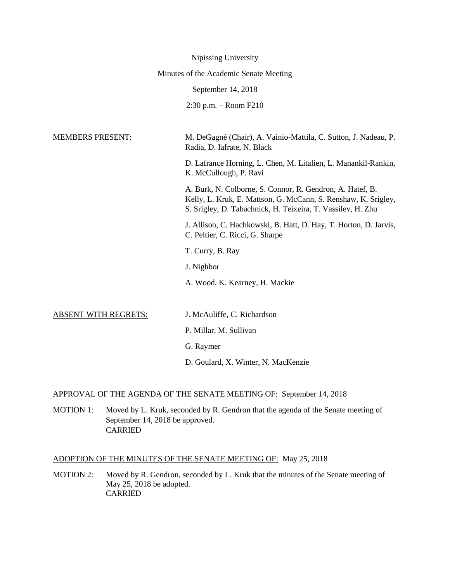| Nipissing University                                                                                                                                                                       |  |  |  |  |  |
|--------------------------------------------------------------------------------------------------------------------------------------------------------------------------------------------|--|--|--|--|--|
| Minutes of the Academic Senate Meeting                                                                                                                                                     |  |  |  |  |  |
| September 14, 2018                                                                                                                                                                         |  |  |  |  |  |
| 2:30 p.m. - Room F210                                                                                                                                                                      |  |  |  |  |  |
|                                                                                                                                                                                            |  |  |  |  |  |
| M. DeGagné (Chair), A. Vainio-Mattila, C. Sutton, J. Nadeau, P.<br>Radia, D. Iafrate, N. Black                                                                                             |  |  |  |  |  |
| D. Lafrance Horning, L. Chen, M. Litalien, L. Manankil-Rankin,<br>K. McCullough, P. Ravi                                                                                                   |  |  |  |  |  |
| A. Burk, N. Colborne, S. Connor, R. Gendron, A. Hatef, B.<br>Kelly, L. Kruk, E. Mattson, G. McCann, S. Renshaw, K. Srigley,<br>S. Srigley, D. Tabachnick, H. Teixeira, T. Vassilev, H. Zhu |  |  |  |  |  |
| J. Allison, C. Hachkowski, B. Hatt, D. Hay, T. Horton, D. Jarvis,<br>C. Peltier, C. Ricci, G. Sharpe                                                                                       |  |  |  |  |  |
| T. Curry, B. Ray                                                                                                                                                                           |  |  |  |  |  |
| J. Nighbor                                                                                                                                                                                 |  |  |  |  |  |
| A. Wood, K. Kearney, H. Mackie                                                                                                                                                             |  |  |  |  |  |
|                                                                                                                                                                                            |  |  |  |  |  |
| J. McAuliffe, C. Richardson                                                                                                                                                                |  |  |  |  |  |
| P. Millar, M. Sullivan                                                                                                                                                                     |  |  |  |  |  |
| G. Raymer                                                                                                                                                                                  |  |  |  |  |  |
| D. Goulard, X. Winter, N. MacKenzie                                                                                                                                                        |  |  |  |  |  |
|                                                                                                                                                                                            |  |  |  |  |  |

# APPROVAL OF THE AGENDA OF THE SENATE MEETING OF: September 14, 2018

MOTION 1: Moved by L. Kruk, seconded by R. Gendron that the agenda of the Senate meeting of September 14, 2018 be approved. CARRIED

# ADOPTION OF THE MINUTES OF THE SENATE MEETING OF: May 25, 2018

MOTION 2: Moved by R. Gendron, seconded by L. Kruk that the minutes of the Senate meeting of May 25, 2018 be adopted. CARRIED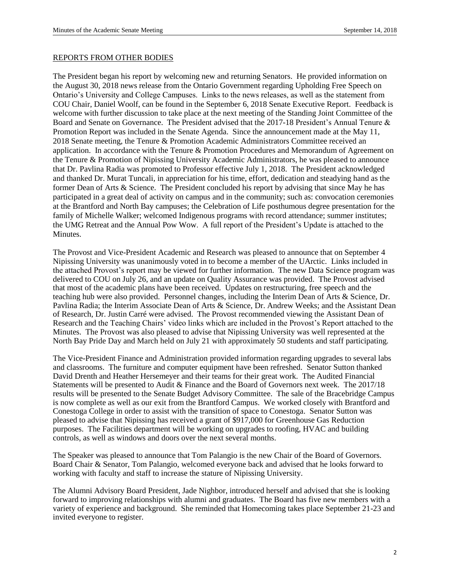#### REPORTS FROM OTHER BODIES

The President began his report by welcoming new and returning Senators. He provided information on the August 30, 2018 news release from the Ontario Government regarding Upholding Free Speech on Ontario's University and College Campuses. Links to the news releases, as well as the statement from COU Chair, Daniel Woolf, can be found in the September 6, 2018 Senate Executive Report. Feedback is welcome with further discussion to take place at the next meeting of the Standing Joint Committee of the Board and Senate on Governance. The President advised that the 2017-18 President's Annual Tenure & Promotion Report was included in the Senate Agenda. Since the announcement made at the May 11, 2018 Senate meeting, the Tenure & Promotion Academic Administrators Committee received an application. In accordance with the Tenure & Promotion Procedures and Memorandum of Agreement on the Tenure & Promotion of Nipissing University Academic Administrators, he was pleased to announce that Dr. Pavlina Radia was promoted to Professor effective July 1, 2018. The President acknowledged and thanked Dr. Murat Tuncali, in appreciation for his time, effort, dedication and steadying hand as the former Dean of Arts & Science. The President concluded his report by advising that since May he has participated in a great deal of activity on campus and in the community; such as: convocation ceremonies at the Brantford and North Bay campuses; the Celebration of Life posthumous degree presentation for the family of Michelle Walker; welcomed Indigenous programs with record attendance; summer institutes; the UMG Retreat and the Annual Pow Wow. A full report of the President's Update is attached to the Minutes.

The Provost and Vice-President Academic and Research was pleased to announce that on September 4 Nipissing University was unanimously voted in to become a member of the UArctic. Links included in the attached Provost's report may be viewed for further information. The new Data Science program was delivered to COU on July 26, and an update on Quality Assurance was provided. The Provost advised that most of the academic plans have been received. Updates on restructuring, free speech and the teaching hub were also provided. Personnel changes, including the Interim Dean of Arts & Science, Dr. Pavlina Radia; the Interim Associate Dean of Arts & Science, Dr. Andrew Weeks; and the Assistant Dean of Research, Dr. Justin Carré were advised. The Provost recommended viewing the Assistant Dean of Research and the Teaching Chairs' video links which are included in the Provost's Report attached to the Minutes. The Provost was also pleased to advise that Nipissing University was well represented at the North Bay Pride Day and March held on July 21 with approximately 50 students and staff participating.

The Vice-President Finance and Administration provided information regarding upgrades to several labs and classrooms. The furniture and computer equipment have been refreshed. Senator Sutton thanked David Drenth and Heather Hersemeyer and their teams for their great work. The Audited Financial Statements will be presented to Audit & Finance and the Board of Governors next week. The 2017/18 results will be presented to the Senate Budget Advisory Committee. The sale of the Bracebridge Campus is now complete as well as our exit from the Brantford Campus. We worked closely with Brantford and Conestoga College in order to assist with the transition of space to Conestoga. Senator Sutton was pleased to advise that Nipissing has received a grant of \$917,000 for Greenhouse Gas Reduction purposes. The Facilities department will be working on upgrades to roofing, HVAC and building controls, as well as windows and doors over the next several months.

The Speaker was pleased to announce that Tom Palangio is the new Chair of the Board of Governors. Board Chair & Senator, Tom Palangio, welcomed everyone back and advised that he looks forward to working with faculty and staff to increase the stature of Nipissing University.

The Alumni Advisory Board President, Jade Nighbor, introduced herself and advised that she is looking forward to improving relationships with alumni and graduates. The Board has five new members with a variety of experience and background. She reminded that Homecoming takes place September 21-23 and invited everyone to register.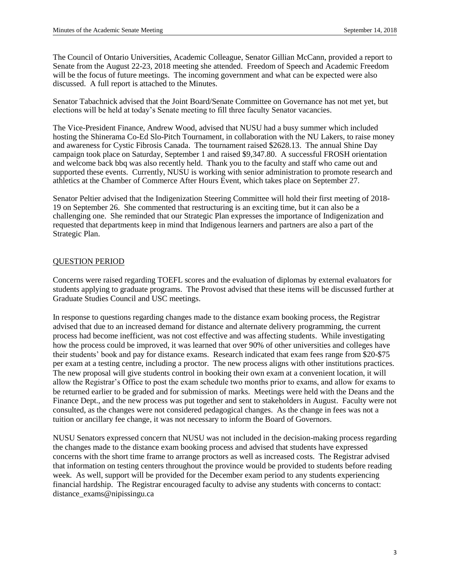The Council of Ontario Universities, Academic Colleague, Senator Gillian McCann, provided a report to Senate from the August 22-23, 2018 meeting she attended. Freedom of Speech and Academic Freedom will be the focus of future meetings. The incoming government and what can be expected were also discussed. A full report is attached to the Minutes.

Senator Tabachnick advised that the Joint Board/Senate Committee on Governance has not met yet, but elections will be held at today's Senate meeting to fill three faculty Senator vacancies.

The Vice-President Finance, Andrew Wood, advised that NUSU had a busy summer which included hosting the Shinerama Co-Ed Slo-Pitch Tournament, in collaboration with the NU Lakers, to raise money and awareness for Cystic Fibrosis Canada. The tournament raised \$2628.13. The annual Shine Day campaign took place on Saturday, September 1 and raised \$9,347.80. A successful FROSH orientation and welcome back bbq was also recently held. Thank you to the faculty and staff who came out and supported these events. Currently, NUSU is working with senior administration to promote research and athletics at the Chamber of Commerce After Hours Event, which takes place on September 27.

Senator Peltier advised that the Indigenization Steering Committee will hold their first meeting of 2018- 19 on September 26. She commented that restructuring is an exciting time, but it can also be a challenging one. She reminded that our Strategic Plan expresses the importance of Indigenization and requested that departments keep in mind that Indigenous learners and partners are also a part of the Strategic Plan.

## QUESTION PERIOD

Concerns were raised regarding TOEFL scores and the evaluation of diplomas by external evaluators for students applying to graduate programs. The Provost advised that these items will be discussed further at Graduate Studies Council and USC meetings.

In response to questions regarding changes made to the distance exam booking process, the Registrar advised that due to an increased demand for distance and alternate delivery programming, the current process had become inefficient, was not cost effective and was affecting students. While investigating how the process could be improved, it was learned that over 90% of other universities and colleges have their students' book and pay for distance exams. Research indicated that exam fees range from \$20-\$75 per exam at a testing centre, including a proctor. The new process aligns with other institutions practices. The new proposal will give students control in booking their own exam at a convenient location, it will allow the Registrar's Office to post the exam schedule two months prior to exams, and allow for exams to be returned earlier to be graded and for submission of marks. Meetings were held with the Deans and the Finance Dept., and the new process was put together and sent to stakeholders in August. Faculty were not consulted, as the changes were not considered pedagogical changes. As the change in fees was not a tuition or ancillary fee change, it was not necessary to inform the Board of Governors.

NUSU Senators expressed concern that NUSU was not included in the decision-making process regarding the changes made to the distance exam booking process and advised that students have expressed concerns with the short time frame to arrange proctors as well as increased costs. The Registrar advised that information on testing centers throughout the province would be provided to students before reading week. As well, support will be provided for the December exam period to any students experiencing financial hardship. The Registrar encouraged faculty to advise any students with concerns to contact: distance\_exams@nipissingu.ca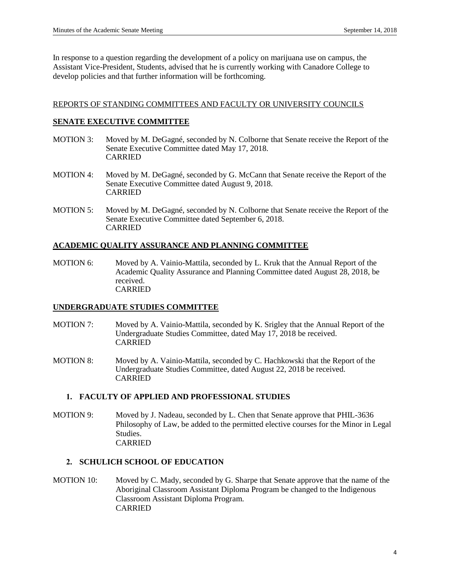In response to a question regarding the development of a policy on marijuana use on campus, the Assistant Vice-President, Students, advised that he is currently working with Canadore College to develop policies and that further information will be forthcoming.

#### REPORTS OF STANDING COMMITTEES AND FACULTY OR UNIVERSITY COUNCILS

#### **SENATE EXECUTIVE COMMITTEE**

- MOTION 3: Moved by M. DeGagné, seconded by N. Colborne that Senate receive the Report of the Senate Executive Committee dated May 17, 2018. CARRIED
- MOTION 4: Moved by M. DeGagné, seconded by G. McCann that Senate receive the Report of the Senate Executive Committee dated August 9, 2018. CARRIED
- MOTION 5: Moved by M. DeGagné, seconded by N. Colborne that Senate receive the Report of the Senate Executive Committee dated September 6, 2018. CARRIED

## **ACADEMIC QUALITY ASSURANCE AND PLANNING COMMITTEE**

MOTION 6: Moved by A. Vainio-Mattila, seconded by L. Kruk that the Annual Report of the Academic Quality Assurance and Planning Committee dated August 28, 2018, be received. CARRIED

## **UNDERGRADUATE STUDIES COMMITTEE**

- MOTION 7: Moved by A. Vainio-Mattila, seconded by K. Srigley that the Annual Report of the Undergraduate Studies Committee, dated May 17, 2018 be received. CARRIED
- MOTION 8: Moved by A. Vainio-Mattila, seconded by C. Hachkowski that the Report of the Undergraduate Studies Committee, dated August 22, 2018 be received. CARRIED

#### **1. FACULTY OF APPLIED AND PROFESSIONAL STUDIES**

MOTION 9: Moved by J. Nadeau, seconded by L. Chen that Senate approve that PHIL-3636 Philosophy of Law, be added to the permitted elective courses for the Minor in Legal Studies. CARRIED

#### **2. SCHULICH SCHOOL OF EDUCATION**

MOTION 10: Moved by C. Mady, seconded by G. Sharpe that Senate approve that the name of the Aboriginal Classroom Assistant Diploma Program be changed to the Indigenous Classroom Assistant Diploma Program. CARRIED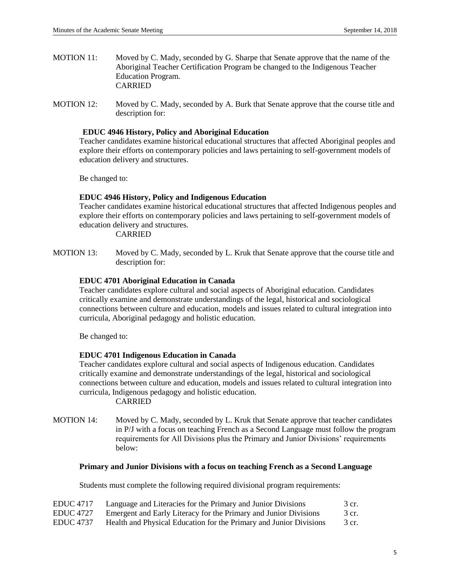- MOTION 11: Moved by C. Mady, seconded by G. Sharpe that Senate approve that the name of the Aboriginal Teacher Certification Program be changed to the Indigenous Teacher Education Program. CARRIED
- MOTION 12: Moved by C. Mady, seconded by A. Burk that Senate approve that the course title and description for:

#### **EDUC 4946 History, Policy and Aboriginal Education**

Teacher candidates examine historical educational structures that affected Aboriginal peoples and explore their efforts on contemporary policies and laws pertaining to self-government models of education delivery and structures.

Be changed to:

#### **EDUC 4946 History, Policy and Indigenous Education**

Teacher candidates examine historical educational structures that affected Indigenous peoples and explore their efforts on contemporary policies and laws pertaining to self-government models of education delivery and structures.

CARRIED

MOTION 13: Moved by C. Mady, seconded by L. Kruk that Senate approve that the course title and description for:

#### **EDUC 4701 Aboriginal Education in Canada**

Teacher candidates explore cultural and social aspects of Aboriginal education. Candidates critically examine and demonstrate understandings of the legal, historical and sociological connections between culture and education, models and issues related to cultural integration into curricula, Aboriginal pedagogy and holistic education.

Be changed to:

#### **EDUC 4701 Indigenous Education in Canada**

Teacher candidates explore cultural and social aspects of Indigenous education. Candidates critically examine and demonstrate understandings of the legal, historical and sociological connections between culture and education, models and issues related to cultural integration into curricula, Indigenous pedagogy and holistic education. CARRIED

MOTION 14: Moved by C. Mady, seconded by L. Kruk that Senate approve that teacher candidates in P/J with a focus on teaching French as a Second Language must follow the program requirements for All Divisions plus the Primary and Junior Divisions' requirements below:

#### **Primary and Junior Divisions with a focus on teaching French as a Second Language**

Students must complete the following required divisional program requirements:

| <b>EDUC</b> 4717 | Language and Literacies for the Primary and Junior Divisions       | 3 cr. |
|------------------|--------------------------------------------------------------------|-------|
| <b>EDUC</b> 4727 | Emergent and Early Literacy for the Primary and Junior Divisions   | 3 cr. |
| <b>EDUC</b> 4737 | Health and Physical Education for the Primary and Junior Divisions | 3 cr. |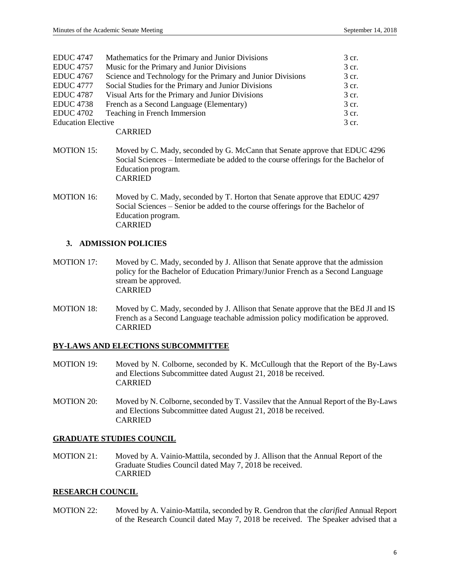| <b>EDUC 4747</b>          | Mathematics for the Primary and Junior Divisions            | 3 cr. |
|---------------------------|-------------------------------------------------------------|-------|
| <b>EDUC</b> 4757          | Music for the Primary and Junior Divisions                  | 3 cr. |
| <b>EDUC</b> 4767          | Science and Technology for the Primary and Junior Divisions | 3 cr. |
| <b>EDUC</b> 4777          | Social Studies for the Primary and Junior Divisions         | 3 cr. |
| <b>EDUC 4787</b>          | Visual Arts for the Primary and Junior Divisions            | 3 cr. |
| <b>EDUC</b> 4738          | French as a Second Language (Elementary)                    | 3 cr. |
| <b>EDUC 4702</b>          | Teaching in French Immersion                                | 3 cr. |
| <b>Education Elective</b> |                                                             | 3 cr. |
|                           |                                                             |       |

CARRIED

- MOTION 15: Moved by C. Mady, seconded by G. McCann that Senate approve that EDUC 4296 Social Sciences – Intermediate be added to the course offerings for the Bachelor of Education program. CARRIED
- MOTION 16: Moved by C. Mady, seconded by T. Horton that Senate approve that EDUC 4297 Social Sciences – Senior be added to the course offerings for the Bachelor of Education program. CARRIED

## **3. ADMISSION POLICIES**

- MOTION 17: Moved by C. Mady, seconded by J. Allison that Senate approve that the admission policy for the Bachelor of Education Primary/Junior French as a Second Language stream be approved. CARRIED
- MOTION 18: Moved by C. Mady, seconded by J. Allison that Senate approve that the BEd JI and IS French as a Second Language teachable admission policy modification be approved. CARRIED

## **BY-LAWS AND ELECTIONS SUBCOMMITTEE**

- MOTION 19: Moved by N. Colborne, seconded by K. McCullough that the Report of the By-Laws and Elections Subcommittee dated August 21, 2018 be received. CARRIED
- MOTION 20: Moved by N. Colborne, seconded by T. Vassilev that the Annual Report of the By-Laws and Elections Subcommittee dated August 21, 2018 be received. CARRIED

## **GRADUATE STUDIES COUNCIL**

MOTION 21: Moved by A. Vainio-Mattila, seconded by J. Allison that the Annual Report of the Graduate Studies Council dated May 7, 2018 be received. CARRIED

## **RESEARCH COUNCIL**

MOTION 22: Moved by A. Vainio-Mattila, seconded by R. Gendron that the *clarified* Annual Report of the Research Council dated May 7, 2018 be received. The Speaker advised that a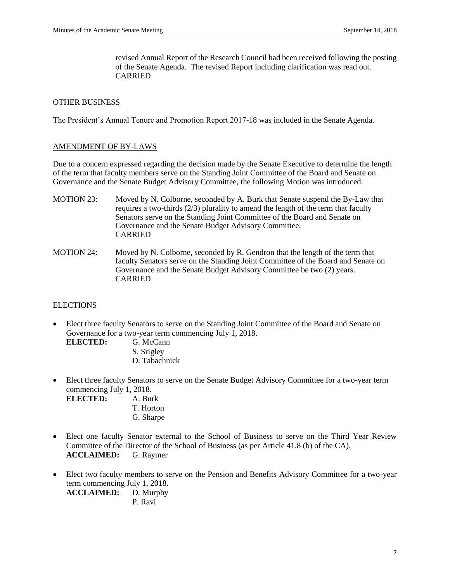revised Annual Report of the Research Council had been received following the posting of the Senate Agenda. The revised Report including clarification was read out. CARRIED

#### OTHER BUSINESS

The President's Annual Tenure and Promotion Report 2017-18 was included in the Senate Agenda.

#### AMENDMENT OF BY-LAWS

Due to a concern expressed regarding the decision made by the Senate Executive to determine the length of the term that faculty members serve on the Standing Joint Committee of the Board and Senate on Governance and the Senate Budget Advisory Committee, the following Motion was introduced:

- MOTION 23: Moved by N. Colborne, seconded by A. Burk that Senate suspend the By-Law that requires a two-thirds (2/3) plurality to amend the length of the term that faculty Senators serve on the Standing Joint Committee of the Board and Senate on Governance and the Senate Budget Advisory Committee. CARRIED
- MOTION 24: Moved by N. Colborne, seconded by R. Gendron that the length of the term that faculty Senators serve on the Standing Joint Committee of the Board and Senate on Governance and the Senate Budget Advisory Committee be two (2) years. CARRIED

## **ELECTIONS**

- Elect three faculty Senators to serve on the Standing Joint Committee of the Board and Senate on Governance for a two-year term commencing July 1, 2018.
	- **ELECTED:** G. McCann S. Srigley D. Tabachnick
- Elect three faculty Senators to serve on the Senate Budget Advisory Committee for a two-year term commencing July 1, 2018.

| ELECTED: | A. Burk   |
|----------|-----------|
|          | T. Horton |
|          | G. Sharpe |

- Elect one faculty Senator external to the School of Business to serve on the Third Year Review Committee of the Director of the School of Business (as per Article 41.8 (b) of the CA). **ACCLAIMED:** G. Raymer
- Elect two faculty members to serve on the Pension and Benefits Advisory Committee for a two-year term commencing July 1, 2018. **ACCLAIMED:** D. Murphy P. Ravi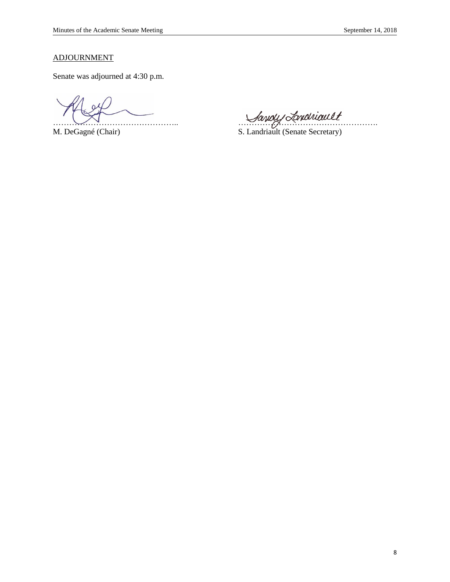# ADJOURNMENT

Senate was adjourned at 4:30 p.m.

Mayoly Landhiault<br>M. DeGagné (Chair) S. Landriault (Senate Secretary)

S. Landriault (Senate Secretary)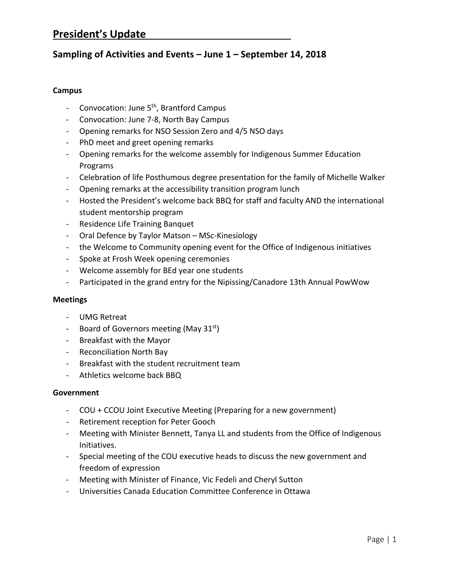# **President's Update**

# **Sampling of Activities and Events – June 1 – September 14, 2018**

## **Campus**

- ‐ Convocation: June 5th, Brantford Campus
- ‐ Convocation: June 7‐8, North Bay Campus
- ‐ Opening remarks for NSO Session Zero and 4/5 NSO days
- ‐ PhD meet and greet opening remarks
- ‐ Opening remarks for the welcome assembly for Indigenous Summer Education Programs
- ‐ Celebration of life Posthumous degree presentation for the family of Michelle Walker
- ‐ Opening remarks at the accessibility transition program lunch
- ‐ Hosted the President's welcome back BBQ for staff and faculty AND the international student mentorship program
- ‐ Residence Life Training Banquet
- ‐ Oral Defence by Taylor Matson MSc‐Kinesiology
- ‐ the Welcome to Community opening event for the Office of Indigenous initiatives
- ‐ Spoke at Frosh Week opening ceremonies
- ‐ Welcome assembly for BEd year one students
- ‐ Participated in the grand entry for the Nipissing/Canadore 13th Annual PowWow

## **Meetings**

- ‐ UMG Retreat
- Board of Governors meeting (May 31<sup>st</sup>)
- ‐ Breakfast with the Mayor
- ‐ Reconciliation North Bay
- ‐ Breakfast with the student recruitment team
- ‐ Athletics welcome back BBQ

## **Government**

- ‐ COU + CCOU Joint Executive Meeting (Preparing for a new government)
- ‐ Retirement reception for Peter Gooch
- ‐ Meeting with Minister Bennett, Tanya LL and students from the Office of Indigenous Initiatives.
- ‐ Special meeting of the COU executive heads to discuss the new government and freedom of expression
- ‐ Meeting with Minister of Finance, Vic Fedeli and Cheryl Sutton
- ‐ Universities Canada Education Committee Conference in Ottawa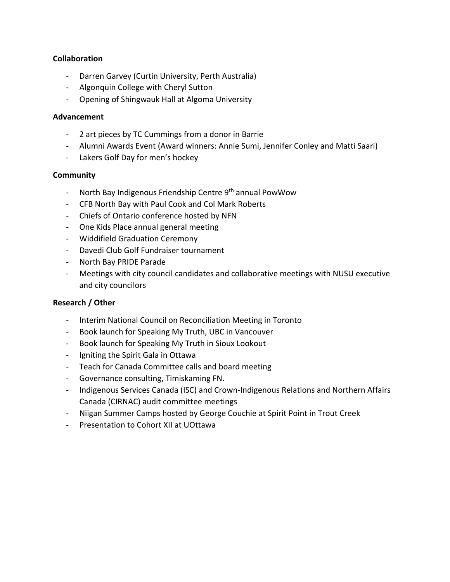## **Collaboration**

- ‐ Darren Garvey (Curtin University, Perth Australia)
- ‐ Algonquin College with Cheryl Sutton
- ‐ Opening of Shingwauk Hall at Algoma University

## **Advancement**

- ‐ 2 art pieces by TC Cummings from a donor in Barrie
- ‐ Alumni Awards Event (Award winners: Annie Sumi, Jennifer Conley and Matti Saari)
- ‐ Lakers Golf Day for men's hockey

## **Community**

- ‐ North Bay Indigenous Friendship Centre 9th annual PowWow
- ‐ CFB North Bay with Paul Cook and Col Mark Roberts
- ‐ Chiefs of Ontario conference hosted by NFN
- ‐ One Kids Place annual general meeting
- ‐ Widdifield Graduation Ceremony
- ‐ Davedi Club Golf Fundraiser tournament
- ‐ North Bay PRIDE Parade
- ‐ Meetings with city council candidates and collaborative meetings with NUSU executive and city councilors

# **Research / Other**

- ‐ Interim National Council on Reconciliation Meeting in Toronto
- ‐ Book launch for Speaking My Truth, UBC in Vancouver
- ‐ Book launch for Speaking My Truth in Sioux Lookout
- ‐ Igniting the Spirit Gala in Ottawa
- ‐ Teach for Canada Committee calls and board meeting
- ‐ Governance consulting, Timiskaming FN.
- ‐ Indigenous Services Canada (ISC) and Crown‐Indigenous Relations and Northern Affairs Canada (CIRNAC) audit committee meetings
- ‐ Niigan Summer Camps hosted by George Couchie at Spirit Point in Trout Creek
- ‐ Presentation to Cohort XII at UOttawa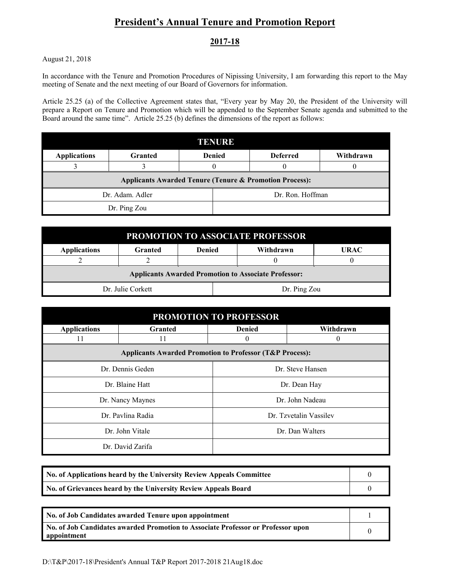# **President's Annual Tenure and Promotion Report**

## **2017-18**

August 21, 2018

In accordance with the Tenure and Promotion Procedures of Nipissing University, I am forwarding this report to the May meeting of Senate and the next meeting of our Board of Governors for information.

Article 25.25 (a) of the Collective Agreement states that, "Every year by May 20, the President of the University will prepare a Report on Tenure and Promotion which will be appended to the September Senate agenda and submitted to the Board around the same time". Article 25.25 (b) defines the dimensions of the report as follows:

| TENURE                                                             |                                 |  |  |                  |           |
|--------------------------------------------------------------------|---------------------------------|--|--|------------------|-----------|
| <b>Applications</b>                                                | <b>Granted</b><br><b>Denied</b> |  |  | <b>Deferred</b>  | Withdrawn |
|                                                                    |                                 |  |  |                  |           |
| <b>Applicants Awarded Tenure (Tenure &amp; Promotion Process):</b> |                                 |  |  |                  |           |
| Dr. Adam. Adler                                                    |                                 |  |  | Dr. Ron. Hoffman |           |
| Dr. Ping Zou                                                       |                                 |  |  |                  |           |

| PROMOTION TO ASSOCIATE PROFESSOR                            |                |               |  |              |             |
|-------------------------------------------------------------|----------------|---------------|--|--------------|-------------|
| <b>Applications</b>                                         | <b>Granted</b> | <b>Denied</b> |  | Withdrawn    | <b>URAC</b> |
|                                                             |                |               |  |              |             |
| <b>Applicants Awarded Promotion to Associate Professor:</b> |                |               |  |              |             |
| Dr. Julie Corkett                                           |                |               |  | Dr. Ping Zou |             |

| <b>PROMOTION TO PROFESSOR</b> |                                                                     |                  |                        |  |  |  |
|-------------------------------|---------------------------------------------------------------------|------------------|------------------------|--|--|--|
| <b>Applications</b>           | <b>Granted</b>                                                      | <b>Denied</b>    | Withdrawn              |  |  |  |
| 11                            |                                                                     | 0                | 0                      |  |  |  |
|                               | <b>Applicants Awarded Promotion to Professor (T&amp;P Process):</b> |                  |                        |  |  |  |
| Dr. Dennis Geden              |                                                                     | Dr. Steve Hansen |                        |  |  |  |
| Dr. Blaine Hatt               |                                                                     | Dr. Dean Hay     |                        |  |  |  |
| Dr. Nancy Maynes              |                                                                     | Dr. John Nadeau  |                        |  |  |  |
| Dr. Pavlina Radia             |                                                                     |                  | Dr. Tzvetalin Vassilev |  |  |  |
| Dr. John Vitale               |                                                                     | Dr. Dan Walters  |                        |  |  |  |
| Dr. David Zarifa              |                                                                     |                  |                        |  |  |  |

| No. of Applications heard by the University Review Appeals Committee |  |
|----------------------------------------------------------------------|--|
| No. of Grievances heard by the University Review Appeals Board       |  |

| No. of Job Candidates awarded Tenure upon appointment                                           |  |
|-------------------------------------------------------------------------------------------------|--|
| No. of Job Candidates awarded Promotion to Associate Professor or Professor upon<br>appointment |  |

D:\T&P\2017-18\President's Annual T&P Report 2017-2018 21Aug18.doc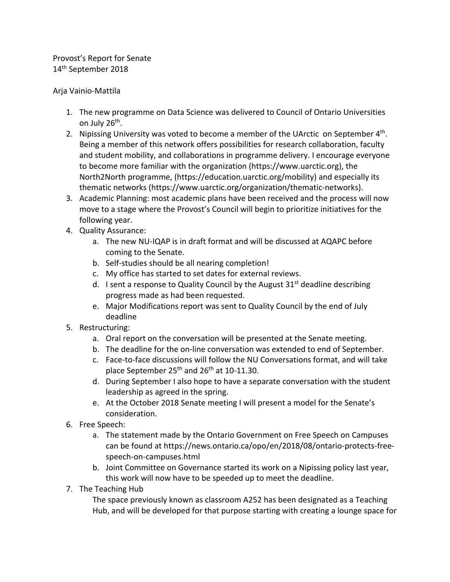Provost's Report for Senate 14th September 2018

## Arja Vainio‐Mattila

- 1. The new programme on Data Science was delivered to Council of Ontario Universities on July 26<sup>th</sup>.
- 2. Nipissing University was voted to become a member of the UArctic on September  $4<sup>th</sup>$ . Being a member of this network offers possibilities for research collaboration, faculty and student mobility, and collaborations in programme delivery. I encourage everyone to become more familiar with the organization (https://www.uarctic.org), the North2North programme, (https://education.uarctic.org/mobility) and especially its thematic networks (https://www.uarctic.org/organization/thematic‐networks).
- 3. Academic Planning: most academic plans have been received and the process will now move to a stage where the Provost's Council will begin to prioritize initiatives for the following year.
- 4. Quality Assurance:
	- a. The new NU‐IQAP is in draft format and will be discussed at AQAPC before coming to the Senate.
	- b. Self‐studies should be all nearing completion!
	- c. My office has started to set dates for external reviews.
	- d. I sent a response to Quality Council by the August  $31<sup>st</sup>$  deadline describing progress made as had been requested.
	- e. Major Modifications report was sent to Quality Council by the end of July deadline
- 5. Restructuring:
	- a. Oral report on the conversation will be presented at the Senate meeting.
	- b. The deadline for the on-line conversation was extended to end of September.
	- c. Face‐to‐face discussions will follow the NU Conversations format, and will take place September  $25<sup>th</sup>$  and  $26<sup>th</sup>$  at 10-11.30.
	- d. During September I also hope to have a separate conversation with the student leadership as agreed in the spring.
	- e. At the October 2018 Senate meeting I will present a model for the Senate's consideration.
- 6. Free Speech:
	- a. The statement made by the Ontario Government on Free Speech on Campuses can be found at https://news.ontario.ca/opo/en/2018/08/ontario‐protects‐free‐ speech‐on‐campuses.html
	- b. Joint Committee on Governance started its work on a Nipissing policy last year, this work will now have to be speeded up to meet the deadline.
- 7. The Teaching Hub

The space previously known as classroom A252 has been designated as a Teaching Hub, and will be developed for that purpose starting with creating a lounge space for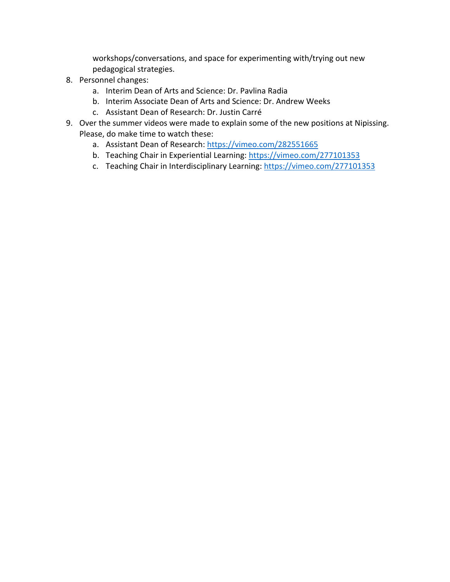workshops/conversations, and space for experimenting with/trying out new pedagogical strategies.

- 8. Personnel changes:
	- a. Interim Dean of Arts and Science: Dr. Pavlina Radia
	- b. Interim Associate Dean of Arts and Science: Dr. Andrew Weeks
	- c. Assistant Dean of Research: Dr. Justin Carré
- 9. Over the summer videos were made to explain some of the new positions at Nipissing. Please, do make time to watch these:
	- a. Assistant Dean of Research: https://vimeo.com/282551665
	- b. Teaching Chair in Experiential Learning: https://vimeo.com/277101353
	- c. Teaching Chair in Interdisciplinary Learning: https://vimeo.com/277101353